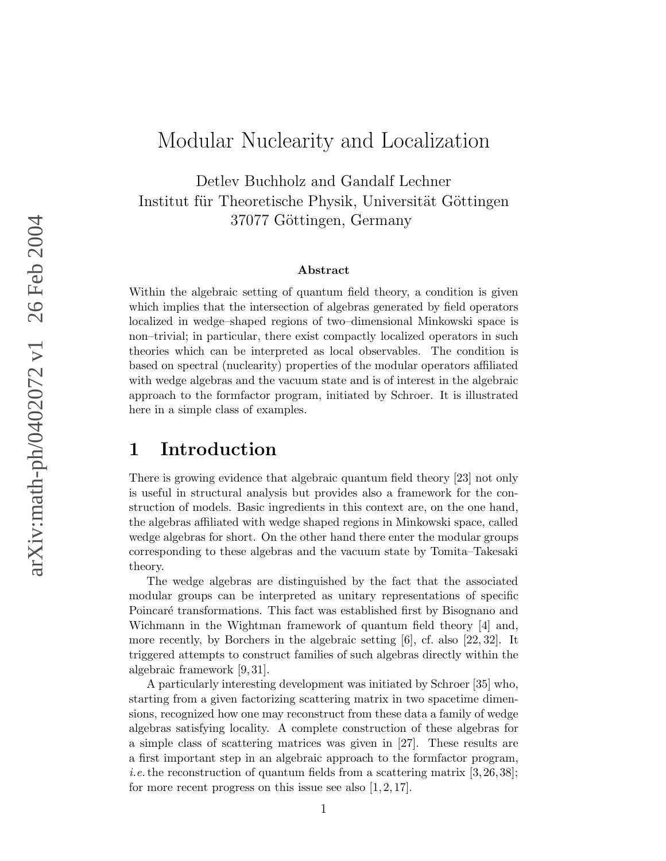# Modular Nuclearity and Localization

Detlev Buchholz and Gandalf Lechner Institut für Theoretische Physik, Universität Göttingen 37077 Göttingen, Germany

#### Abstract

Within the algebraic setting of quantum field theory, a condition is given which implies that the intersection of algebras generated by field operators localized in wedge–shaped regions of two–dimensional Minkowski space is non–trivial; in particular, there exist compactly localized operators in such theories which can be interpreted as local observables. The condition is based on spectral (nuclearity) properties of the modular operators affiliated with wedge algebras and the vacuum state and is of interest in the algebraic approach to the formfactor program, initiated by Schroer. It is illustrated here in a simple class of examples.

# 1 Introduction

There is growing evidence that algebraic quantum field theory [23] not only is useful in structural analysis but provides also a framework for the construction of models. Basic ingredients in this context are, on the one hand, the algebras affiliated with wedge shaped regions in Minkowski space, called wedge algebras for short. On the other hand there enter the modular groups corresponding to these algebras and the vacuum state by Tomita–Takesaki theory.

The wedge algebras are distinguished by the fact that the associated modular groups can be interpreted as unitary representations of specific Poincaré transformations. This fact was established first by Bisognano and Wichmann in the Wightman framework of quantum field theory [4] and, more recently, by Borchers in the algebraic setting [6], cf. also [22, 32]. It triggered attempts to construct families of such algebras directly within the algebraic framework [9, 31].

A particularly interesting development was initiated by Schroer [35] who, starting from a given factorizing scattering matrix in two spacetime dimensions, recognized how one may reconstruct from these data a family of wedge algebras satisfying locality. A complete construction of these algebras for a simple class of scattering matrices was given in [27]. These results are a first important step in an algebraic approach to the formfactor program, *i.e.* the reconstruction of quantum fields from a scattering matrix  $[3, 26, 38]$ ; for more recent progress on this issue see also  $[1, 2, 17]$ .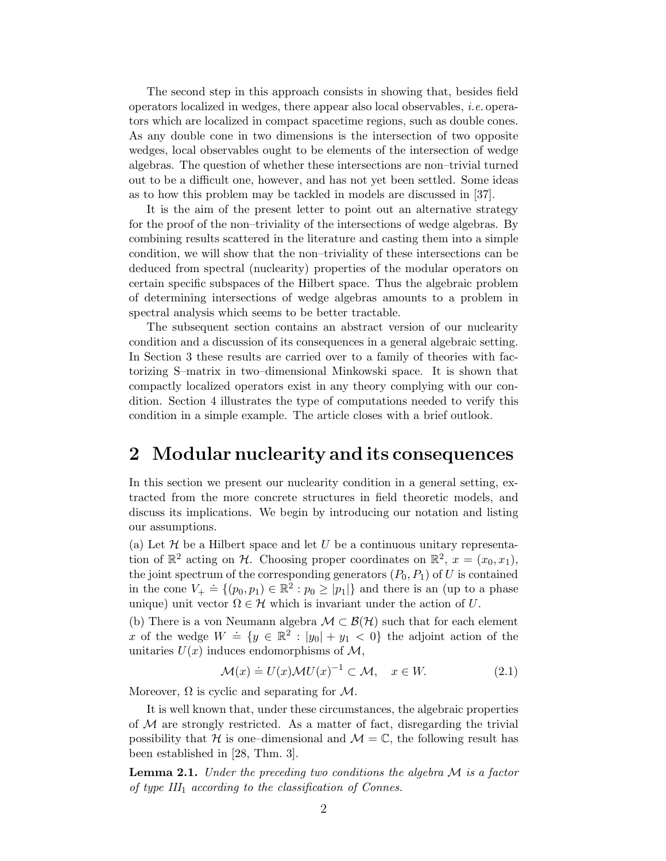The second step in this approach consists in showing that, besides field operators localized in wedges, there appear also local observables, i.e. operators which are localized in compact spacetime regions, such as double cones. As any double cone in two dimensions is the intersection of two opposite wedges, local observables ought to be elements of the intersection of wedge algebras. The question of whether these intersections are non–trivial turned out to be a difficult one, however, and has not yet been settled. Some ideas as to how this problem may be tackled in models are discussed in [37].

It is the aim of the present letter to point out an alternative strategy for the proof of the non–triviality of the intersections of wedge algebras. By combining results scattered in the literature and casting them into a simple condition, we will show that the non–triviality of these intersections can be deduced from spectral (nuclearity) properties of the modular operators on certain specific subspaces of the Hilbert space. Thus the algebraic problem of determining intersections of wedge algebras amounts to a problem in spectral analysis which seems to be better tractable.

The subsequent section contains an abstract version of our nuclearity condition and a discussion of its consequences in a general algebraic setting. In Section 3 these results are carried over to a family of theories with factorizing S–matrix in two–dimensional Minkowski space. It is shown that compactly localized operators exist in any theory complying with our condition. Section 4 illustrates the type of computations needed to verify this condition in a simple example. The article closes with a brief outlook.

### 2 Modular nuclearity and its consequences

In this section we present our nuclearity condition in a general setting, extracted from the more concrete structures in field theoretic models, and discuss its implications. We begin by introducing our notation and listing our assumptions.

(a) Let  $\mathcal H$  be a Hilbert space and let U be a continuous unitary representation of  $\mathbb{R}^2$  acting on  $\mathcal{H}$ . Choosing proper coordinates on  $\mathbb{R}^2$ ,  $x = (x_0, x_1)$ , the joint spectrum of the corresponding generators  $(P_0, P_1)$  of U is contained in the cone  $V_+ \doteq \{(p_0, p_1) \in \mathbb{R}^2 : p_0 \geq |p_1|\}$  and there is an (up to a phase unique) unit vector  $\Omega \in \mathcal{H}$  which is invariant under the action of U.

(b) There is a von Neumann algebra  $\mathcal{M} \subset \mathcal{B}(\mathcal{H})$  such that for each element x of the wedge  $W = \{y \in \mathbb{R}^2 : |y_0| + y_1 < 0\}$  the adjoint action of the unitaries  $U(x)$  induces endomorphisms of  $\mathcal{M}$ ,

<span id="page-1-0"></span>
$$
\mathcal{M}(x) \doteq U(x)\mathcal{M}U(x)^{-1} \subset \mathcal{M}, \quad x \in W.
$$
 (2.1)

Moreover,  $\Omega$  is cyclic and separating for M.

It is well known that, under these circumstances, the algebraic properties of  $M$  are strongly restricted. As a matter of fact, disregarding the trivial possibility that H is one–dimensional and  $\mathcal{M} = \mathbb{C}$ , the following result has been established in [28, Thm. 3].

**Lemma 2.1.** Under the preceding two conditions the algebra  $M$  is a factor of type  $III_1$  according to the classification of Connes.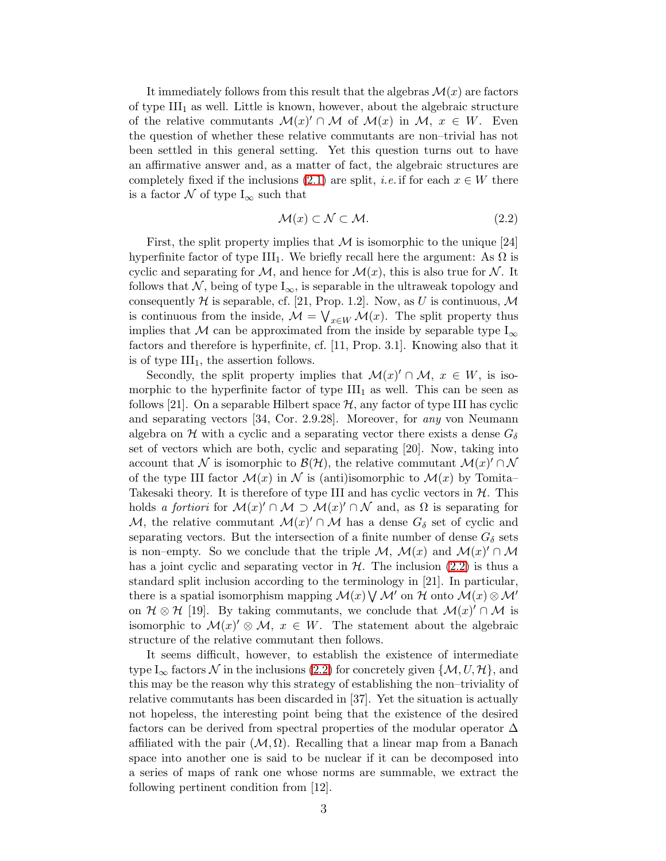It immediately follows from this result that the algebras  $\mathcal{M}(x)$  are factors of type  $III_1$  as well. Little is known, however, about the algebraic structure of the relative commutants  $\mathcal{M}(x) \cap \mathcal{M}$  of  $\mathcal{M}(x)$  in  $\mathcal{M}, x \in W$ . Even the question of whether these relative commutants are non–trivial has not been settled in this general setting. Yet this question turns out to have an affirmative answer and, as a matter of fact, the algebraic structures are completely fixed if the inclusions [\(2.1\)](#page-1-0) are split, *i.e.* if for each  $x \in W$  there is a factor N of type  $I_{\infty}$  such that

<span id="page-2-0"></span>
$$
\mathcal{M}(x) \subset \mathcal{N} \subset \mathcal{M}.\tag{2.2}
$$

First, the split property implies that  $\mathcal M$  is isomorphic to the unique [24] hyperfinite factor of type III<sub>1</sub>. We briefly recall here the argument: As  $\Omega$  is cyclic and separating for M, and hence for  $\mathcal{M}(x)$ , this is also true for N. It follows that N, being of type  $I_{\infty}$ , is separable in the ultraweak topology and consequently H is separable, cf. [21, Prop. 1.2]. Now, as U is continuous, M is continuous from the inside,  $\mathcal{M} = \bigvee_{x \in W} \mathcal{M}(x)$ . The split property thus implies that M can be approximated from the inside by separable type  $I_{\infty}$ factors and therefore is hyperfinite, cf. [11, Prop. 3.1]. Knowing also that it is of type  $III<sub>1</sub>$ , the assertion follows.

Secondly, the split property implies that  $\mathcal{M}(x) \cap \mathcal{M}, x \in W$ , is isomorphic to the hyperfinite factor of type  $III_1$  as well. This can be seen as follows [21]. On a separable Hilbert space  $\mathcal{H}$ , any factor of type III has cyclic and separating vectors [34, Cor. 2.9.28]. Moreover, for any von Neumann algebra on H with a cyclic and a separating vector there exists a dense  $G_{\delta}$ set of vectors which are both, cyclic and separating [20]. Now, taking into account that N is isomorphic to  $\mathcal{B}(\mathcal{H})$ , the relative commutant  $\mathcal{M}(x) \cap \mathcal{N}$ of the type III factor  $\mathcal{M}(x)$  in  $\mathcal N$  is (anti)isomorphic to  $\mathcal M(x)$  by Tomita– Takesaki theory. It is therefore of type III and has cyclic vectors in  $H$ . This holds a fortiori for  $\mathcal{M}(x)' \cap \mathcal{M} \supset \mathcal{M}(x)' \cap \mathcal{N}$  and, as  $\Omega$  is separating for M, the relative commutant  $\mathcal{M}(x)'\cap \mathcal{M}$  has a dense  $G_{\delta}$  set of cyclic and separating vectors. But the intersection of a finite number of dense  $G_{\delta}$  sets is non–empty. So we conclude that the triple M,  $\mathcal{M}(x)$  and  $\mathcal{M}(x) \cap \mathcal{M}(x)$ has a joint cyclic and separating vector in  $H$ . The inclusion [\(2.2\)](#page-2-0) is thus a standard split inclusion according to the terminology in [21]. In particular, there is a spatial isomorphism mapping  $\mathcal{M}(x) \bigvee \mathcal{M}'$  on  $\mathcal{H}$  onto  $\mathcal{M}(x) \otimes \mathcal{M}'$ on  $\mathcal{H} \otimes \mathcal{H}$  [19]. By taking commutants, we conclude that  $\mathcal{M}(x) \cap \mathcal{M}$  is isomorphic to  $\mathcal{M}(x) \otimes \mathcal{M}, x \in W$ . The statement about the algebraic structure of the relative commutant then follows.

It seems difficult, however, to establish the existence of intermediate type  $I_{\infty}$  factors  $\mathcal N$  in the inclusions [\(2.2\)](#page-2-0) for concretely given  $\{\mathcal M, U, \mathcal H\}$ , and this may be the reason why this strategy of establishing the non–triviality of relative commutants has been discarded in [37]. Yet the situation is actually not hopeless, the interesting point being that the existence of the desired factors can be derived from spectral properties of the modular operator  $\Delta$ affiliated with the pair  $(M, \Omega)$ . Recalling that a linear map from a Banach space into another one is said to be nuclear if it can be decomposed into a series of maps of rank one whose norms are summable, we extract the following pertinent condition from [12].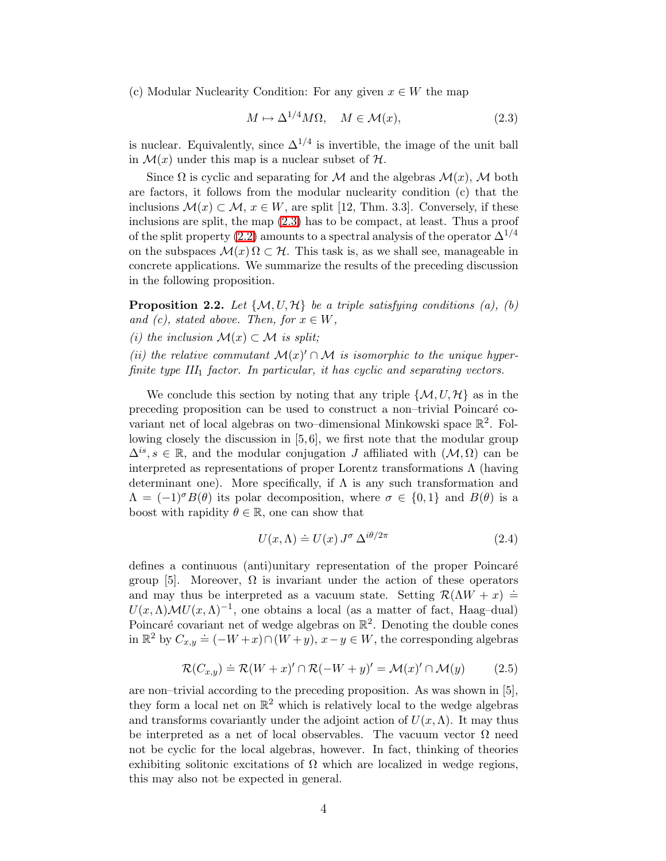(c) Modular Nuclearity Condition: For any given  $x \in W$  the map

<span id="page-3-0"></span>
$$
M \mapsto \Delta^{1/4} M \Omega, \quad M \in \mathcal{M}(x), \tag{2.3}
$$

is nuclear. Equivalently, since  $\Delta^{1/4}$  is invertible, the image of the unit ball in  $\mathcal{M}(x)$  under this map is a nuclear subset of  $\mathcal{H}$ .

Since  $\Omega$  is cyclic and separating for M and the algebras  $\mathcal{M}(x)$ , M both are factors, it follows from the modular nuclearity condition (c) that the inclusions  $\mathcal{M}(x) \subset \mathcal{M}, x \in W$ , are split [12, Thm. 3.3]. Conversely, if these inclusions are split, the map [\(2.3\)](#page-3-0) has to be compact, at least. Thus a proof of the split property [\(2.2\)](#page-2-0) amounts to a spectral analysis of the operator  $\Delta^{1/4}$ on the subspaces  $\mathcal{M}(x) \Omega \subset \mathcal{H}$ . This task is, as we shall see, manageable in concrete applications. We summarize the results of the preceding discussion in the following proposition.

<span id="page-3-1"></span>**Proposition 2.2.** Let  $\{M, U, H\}$  be a triple satisfying conditions (a), (b) and (c), stated above. Then, for  $x \in W$ ,

(i) the inclusion  $\mathcal{M}(x) \subset \mathcal{M}$  is split;

(ii) the relative commutant  $\mathcal{M}(x) \cap \mathcal{M}$  is isomorphic to the unique hyperfinite type  $III_1$  factor. In particular, it has cyclic and separating vectors.

We conclude this section by noting that any triple  $\{\mathcal{M}, U, \mathcal{H}\}\$ as in the preceding proposition can be used to construct a non–trivial Poincaré covariant net of local algebras on two–dimensional Minkowski space  $\mathbb{R}^2$ . Following closely the discussion in  $[5, 6]$ , we first note that the modular group  $\Delta^{is}, s \in \mathbb{R}$ , and the modular conjugation J affiliated with  $(\mathcal{M}, \Omega)$  can be interpreted as representations of proper Lorentz transformations  $\Lambda$  (having determinant one). More specifically, if  $\Lambda$  is any such transformation and  $\Lambda = (-1)^{\sigma} B(\theta)$  its polar decomposition, where  $\sigma \in \{0,1\}$  and  $B(\theta)$  is a boost with rapidity  $\theta \in \mathbb{R}$ , one can show that

$$
U(x,\Lambda) \doteq U(x) J^{\sigma} \Delta^{i\theta/2\pi}
$$
 (2.4)

defines a continuous (anti)unitary representation of the proper Poincaré group [5]. Moreover,  $\Omega$  is invariant under the action of these operators and may thus be interpreted as a vacuum state. Setting  $\mathcal{R}(\Lambda W + x)$  =  $U(x,\Lambda) \mathcal{M} U(x,\Lambda)^{-1}$ , one obtains a local (as a matter of fact, Haag-dual) Poincaré covariant net of wedge algebras on  $\mathbb{R}^2$ . Denoting the double cones in  $\mathbb{R}^2$  by  $C_{x,y} \doteq (-W+x) \cap (W+y)$ ,  $x-y \in W$ , the corresponding algebras

$$
\mathcal{R}(C_{x,y}) \doteq \mathcal{R}(W+x)' \cap \mathcal{R}(-W+y)' = \mathcal{M}(x)' \cap \mathcal{M}(y) \tag{2.5}
$$

are non–trivial according to the preceding proposition. As was shown in [5], they form a local net on  $\mathbb{R}^2$  which is relatively local to the wedge algebras and transforms covariantly under the adjoint action of  $U(x, \Lambda)$ . It may thus be interpreted as a net of local observables. The vacuum vector  $\Omega$  need not be cyclic for the local algebras, however. In fact, thinking of theories exhibiting solitonic excitations of  $\Omega$  which are localized in wedge regions, this may also not be expected in general.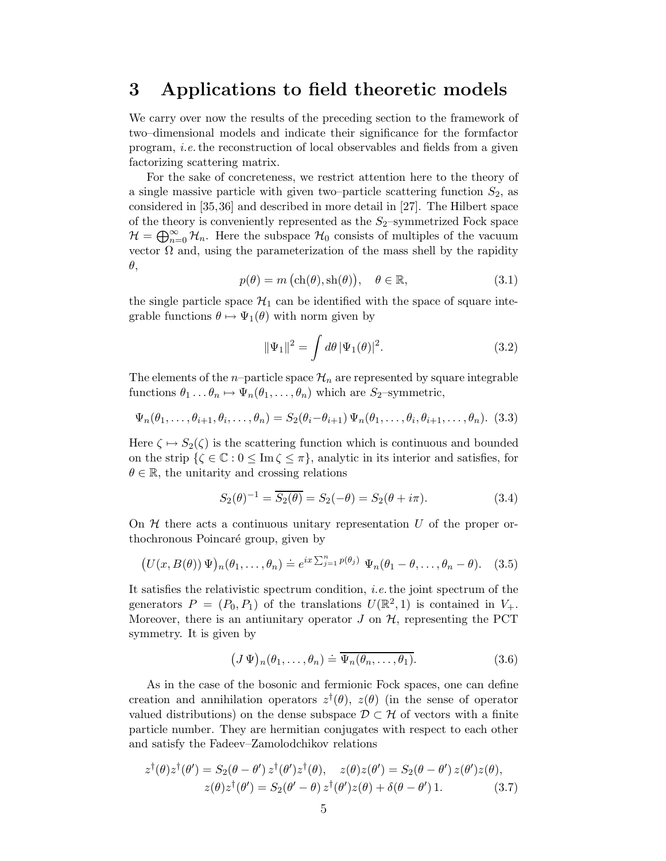## 3 Applications to field theoretic models

We carry over now the results of the preceding section to the framework of two–dimensional models and indicate their significance for the formfactor program, i.e.the reconstruction of local observables and fields from a given factorizing scattering matrix.

For the sake of concreteness, we restrict attention here to the theory of a single massive particle with given two–particle scattering function  $S_2$ , as considered in [35,36] and described in more detail in [27]. The Hilbert space of the theory is conveniently represented as the  $S_2$ -symmetrized Fock space  $\mathcal{H} = \bigoplus_{n=0}^{\infty} \mathcal{H}_n$ . Here the subspace  $\mathcal{H}_0$  consists of multiples of the vacuum vector  $\Omega$  and, using the parameterization of the mass shell by the rapidity θ,

$$
p(\theta) = m\left(\text{ch}(\theta), \text{sh}(\theta)\right), \quad \theta \in \mathbb{R},\tag{3.1}
$$

the single particle space  $\mathcal{H}_1$  can be identified with the space of square integrable functions  $\theta \mapsto \Psi_1(\theta)$  with norm given by

$$
\|\Psi_1\|^2 = \int d\theta \, |\Psi_1(\theta)|^2. \tag{3.2}
$$

The elements of the *n*–particle space  $\mathcal{H}_n$  are represented by square integrable functions  $\theta_1 \dots \theta_n \mapsto \Psi_n(\theta_1, \dots, \theta_n)$  which are S<sub>2</sub>–symmetric,

$$
\Psi_n(\theta_1,\ldots,\theta_{i+1},\theta_i,\ldots,\theta_n) = S_2(\theta_i-\theta_{i+1}) \Psi_n(\theta_1,\ldots,\theta_i,\theta_{i+1},\ldots,\theta_n). \tag{3.3}
$$

Here  $\zeta \mapsto S_2(\zeta)$  is the scattering function which is continuous and bounded on the strip  $\{\zeta \in \mathbb{C} : 0 \leq \text{Im }\zeta \leq \pi\}$ , analytic in its interior and satisfies, for  $\theta \in \mathbb{R}$ , the unitarity and crossing relations

$$
S_2(\theta)^{-1} = \overline{S_2(\theta)} = S_2(-\theta) = S_2(\theta + i\pi).
$$
 (3.4)

On  $H$  there acts a continuous unitary representation U of the proper orthochronous Poincaré group, given by

$$
(U(x, B(\theta)) \Psi)_n(\theta_1, \dots, \theta_n) \doteq e^{ix \sum_{j=1}^n p(\theta_j)} \Psi_n(\theta_1 - \theta, \dots, \theta_n - \theta).
$$
 (3.5)

It satisfies the relativistic spectrum condition, *i.e.* the joint spectrum of the generators  $P = (P_0, P_1)$  of the translations  $U(\mathbb{R}^2, 1)$  is contained in  $V_+$ . Moreover, there is an antiunitary operator  $J$  on  $H$ , representing the PCT symmetry. It is given by

$$
(J\Psi)_n(\theta_1,\ldots,\theta_n) \doteq \overline{\Psi_n(\theta_n,\ldots,\theta_1)}.
$$
\n(3.6)

As in the case of the bosonic and fermionic Fock spaces, one can define creation and annihilation operators  $z^{\dagger}(\theta)$ ,  $z(\theta)$  (in the sense of operator valued distributions) on the dense subspace  $\mathcal{D} \subset \mathcal{H}$  of vectors with a finite particle number. They are hermitian conjugates with respect to each other and satisfy the Fadeev–Zamolodchikov relations

$$
z^{\dagger}(\theta)z^{\dagger}(\theta') = S_2(\theta - \theta')z^{\dagger}(\theta')z^{\dagger}(\theta), \quad z(\theta)z(\theta') = S_2(\theta - \theta')z(\theta')z(\theta),z(\theta)z^{\dagger}(\theta') = S_2(\theta' - \theta)z^{\dagger}(\theta')z(\theta) + \delta(\theta - \theta')1.
$$
 (3.7)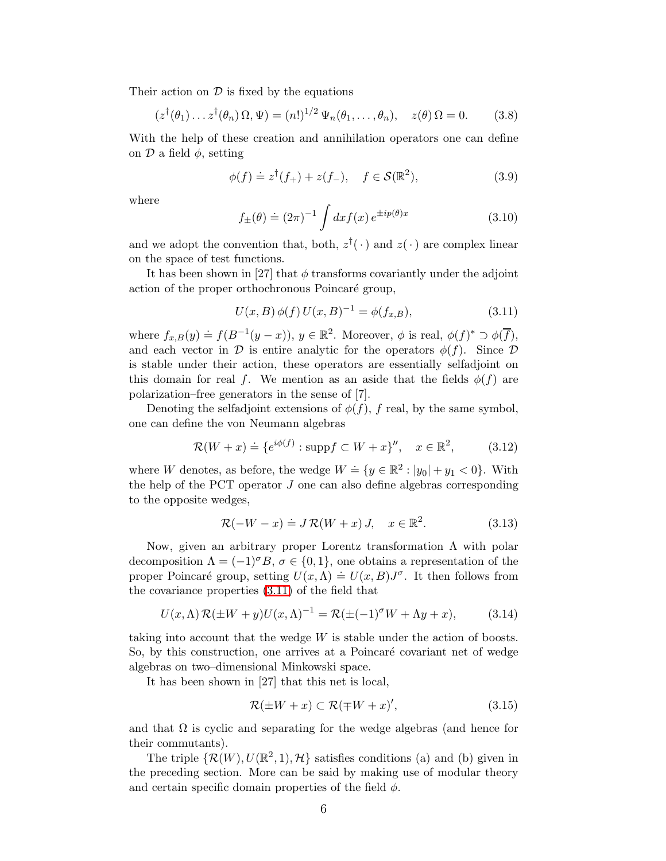Their action on  $\mathcal D$  is fixed by the equations

$$
(z^{\dagger}(\theta_1)\dots z^{\dagger}(\theta_n)\Omega,\Psi) = (n!)^{1/2}\,\Psi_n(\theta_1,\dots,\theta_n), \quad z(\theta)\,\Omega = 0. \tag{3.8}
$$

With the help of these creation and annihilation operators one can define on  $\mathcal D$  a field  $\phi$ , setting

$$
\phi(f) \doteq z^{\dagger}(f_+) + z(f_-), \quad f \in \mathcal{S}(\mathbb{R}^2), \tag{3.9}
$$

where

$$
f_{\pm}(\theta) \doteq (2\pi)^{-1} \int dx f(x) e^{\pm ip(\theta)x}
$$
 (3.10)

and we adopt the convention that, both,  $z^{\dagger}(\cdot)$  and  $z(\cdot)$  are complex linear on the space of test functions.

It has been shown in [27] that  $\phi$  transforms covariantly under the adjoint action of the proper orthochronous Poincaré group,

<span id="page-5-0"></span>
$$
U(x, B) \phi(f) U(x, B)^{-1} = \phi(f_{x, B}), \tag{3.11}
$$

where  $f_{x,B}(y) \doteq f(B^{-1}(y-x)), y \in \mathbb{R}^2$ . Moreover,  $\phi$  is real,  $\phi(f)^* \supset \phi(\overline{f}),$ and each vector in  $\mathcal D$  is entire analytic for the operators  $\phi(f)$ . Since  $\mathcal D$ is stable under their action, these operators are essentially selfadjoint on this domain for real f. We mention as an aside that the fields  $\phi(f)$  are polarization–free generators in the sense of [7].

Denoting the selfadjoint extensions of  $\phi(f)$ , f real, by the same symbol, one can define the von Neumann algebras

$$
\mathcal{R}(W+x) \doteq \{e^{i\phi(f)} : \text{supp} f \subset W+x\}^{\prime\prime}, \quad x \in \mathbb{R}^2, \tag{3.12}
$$

where W denotes, as before, the wedge  $W \doteq \{y \in \mathbb{R}^2 : |y_0| + y_1 < 0\}$ . With the help of the PCT operator J one can also define algebras corresponding to the opposite wedges,

$$
\mathcal{R}(-W - x) \doteq J \mathcal{R}(W + x) J, \quad x \in \mathbb{R}^2.
$$
 (3.13)

Now, given an arbitrary proper Lorentz transformation Λ with polar decomposition  $\Lambda = (-1)^{\sigma} B$ ,  $\sigma \in \{0,1\}$ , one obtains a representation of the proper Poincaré group, setting  $U(x, \Lambda) \doteq U(x, B)J^{\sigma}$ . It then follows from the covariance properties [\(3.11\)](#page-5-0) of the field that

$$
U(x,\Lambda)\mathcal{R}(\pm W+y)U(x,\Lambda)^{-1} = \mathcal{R}(\pm(-1)^\sigma W + \Lambda y + x),\tag{3.14}
$$

taking into account that the wedge  $W$  is stable under the action of boosts. So, by this construction, one arrives at a Poincaré covariant net of wedge algebras on two–dimensional Minkowski space.

It has been shown in [27] that this net is local,

<span id="page-5-1"></span>
$$
\mathcal{R}(\pm W + x) \subset \mathcal{R}(\mp W + x)',\tag{3.15}
$$

and that  $\Omega$  is cyclic and separating for the wedge algebras (and hence for their commutants).

The triple  $\{R(W), U(\mathbb{R}^2, 1), \mathcal{H}\}$  satisfies conditions (a) and (b) given in the preceding section. More can be said by making use of modular theory and certain specific domain properties of the field  $\phi$ .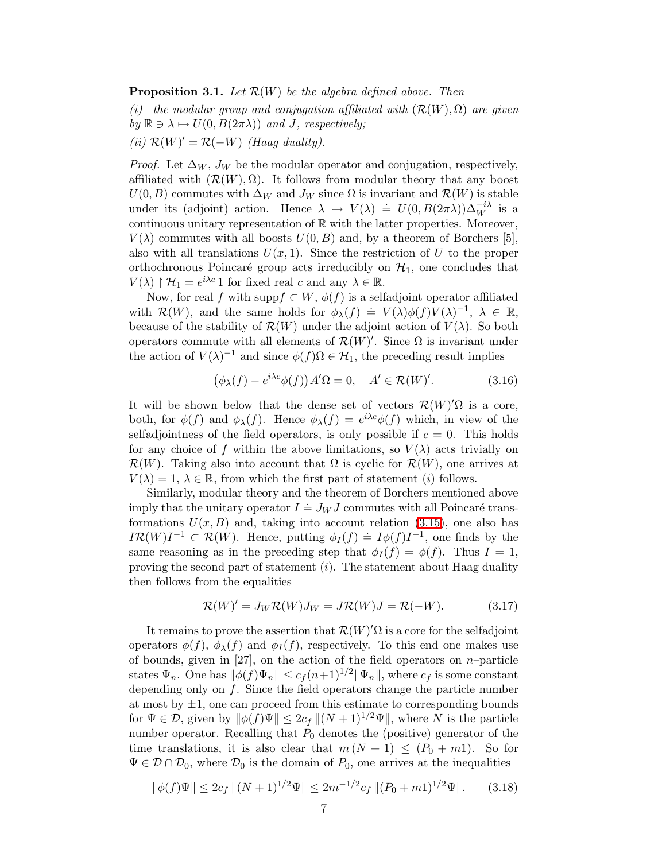#### **Proposition 3.1.** Let  $\mathcal{R}(W)$  be the algebra defined above. Then

(i) the modular group and conjugation affiliated with  $(\mathcal{R}(W), \Omega)$  are given by  $\mathbb{R} \ni \lambda \mapsto U(0, B(2\pi\lambda))$  and J, respectively; (ii)  $\mathcal{R}(W)' = \mathcal{R}(-W)$  (Haag duality).

*Proof.* Let  $\Delta_W$ ,  $J_W$  be the modular operator and conjugation, respectively, affiliated with  $(\mathcal{R}(W), \Omega)$ . It follows from modular theory that any boost  $U(0, B)$  commutes with  $\Delta_W$  and  $J_W$  since  $\Omega$  is invariant and  $\mathcal{R}(W)$  is stable under its (adjoint) action. Hence  $\lambda \mapsto V(\lambda) = U(0, B(2\pi\lambda))\Delta_W^{-i\lambda}$  is a continuous unitary representation of  $\mathbb R$  with the latter properties. Moreover,  $V(\lambda)$  commutes with all boosts  $U(0, B)$  and, by a theorem of Borchers [5], also with all translations  $U(x, 1)$ . Since the restriction of U to the proper orthochronous Poincaré group acts irreducibly on  $\mathcal{H}_1$ , one concludes that  $V(\lambda) \upharpoonright \mathcal{H}_1 = e^{i\lambda c} 1$  for fixed real c and any  $\lambda \in \mathbb{R}$ .

Now, for real f with supp $f \subset W$ ,  $\phi(f)$  is a selfadjoint operator affiliated with  $\mathcal{R}(W)$ , and the same holds for  $\phi_{\lambda}(f) = V(\lambda)\phi(f)V(\lambda)^{-1}$ ,  $\lambda \in \mathbb{R}$ , because of the stability of  $\mathcal{R}(W)$  under the adjoint action of  $V(\lambda)$ . So both operators commute with all elements of  $\mathcal{R}(W)'$ . Since  $\Omega$  is invariant under the action of  $V(\lambda)^{-1}$  and since  $\phi(f) \Omega \in \mathcal{H}_1$ , the preceding result implies

$$
(\phi_{\lambda}(f) - e^{i\lambda c}\phi(f))A'\Omega = 0, \quad A' \in \mathcal{R}(W)'.\tag{3.16}
$$

It will be shown below that the dense set of vectors  $\mathcal{R}(W)'\Omega$  is a core, both, for  $\phi(f)$  and  $\phi_{\lambda}(f)$ . Hence  $\phi_{\lambda}(f) = e^{i\lambda c}\phi(f)$  which, in view of the selfadjointness of the field operators, is only possible if  $c = 0$ . This holds for any choice of f within the above limitations, so  $V(\lambda)$  acts trivially on  $\mathcal{R}(W)$ . Taking also into account that  $\Omega$  is cyclic for  $\mathcal{R}(W)$ , one arrives at  $V(\lambda) = 1, \lambda \in \mathbb{R}$ , from which the first part of statement (i) follows.

Similarly, modular theory and the theorem of Borchers mentioned above imply that the unitary operator  $I \doteq J_W J$  commutes with all Poincaré transformations  $U(x, B)$  and, taking into account relation [\(3.15\)](#page-5-1), one also has  $I\mathcal{R}(W)I^{-1} \subset \mathcal{R}(W)$ . Hence, putting  $\phi_I(f) \doteq I\phi(f)I^{-1}$ , one finds by the same reasoning as in the preceding step that  $\phi_I(f) = \phi(f)$ . Thus  $I = 1$ , proving the second part of statement  $(i)$ . The statement about Haag duality then follows from the equalities

$$
\mathcal{R}(W)' = J_W \mathcal{R}(W) J_W = J \mathcal{R}(W) J = \mathcal{R}(-W).
$$
 (3.17)

It remains to prove the assertion that  $\mathcal{R}(W)'(\Omega)$  is a core for the selfadjoint operators  $\phi(f)$ ,  $\phi_{\lambda}(f)$  and  $\phi_{I}(f)$ , respectively. To this end one makes use of bounds, given in [27], on the action of the field operators on  $n$ -particle states  $\Psi_n$ . One has  $\|\phi(f)\Psi_n\| \leq c_f (n+1)^{1/2} \|\Psi_n\|$ , where  $c_f$  is some constant depending only on  $f$ . Since the field operators change the particle number at most by  $\pm 1$ , one can proceed from this estimate to corresponding bounds for  $\Psi \in \mathcal{D}$ , given by  $\|\phi(f)\Psi\| \leq 2c_f \|(N+1)^{1/2}\Psi\|$ , where N is the particle number operator. Recalling that  $P_0$  denotes the (positive) generator of the time translations, it is also clear that  $m (N + 1) \leq (P_0 + m1)$ . So for  $\Psi \in \mathcal{D} \cap \mathcal{D}_0$ , where  $\mathcal{D}_0$  is the domain of  $P_0$ , one arrives at the inequalities

$$
\|\phi(f)\Psi\| \le 2c_f \|(N+1)^{1/2}\Psi\| \le 2m^{-1/2}c_f \|(P_0+m1)^{1/2}\Psi\|.\tag{3.18}
$$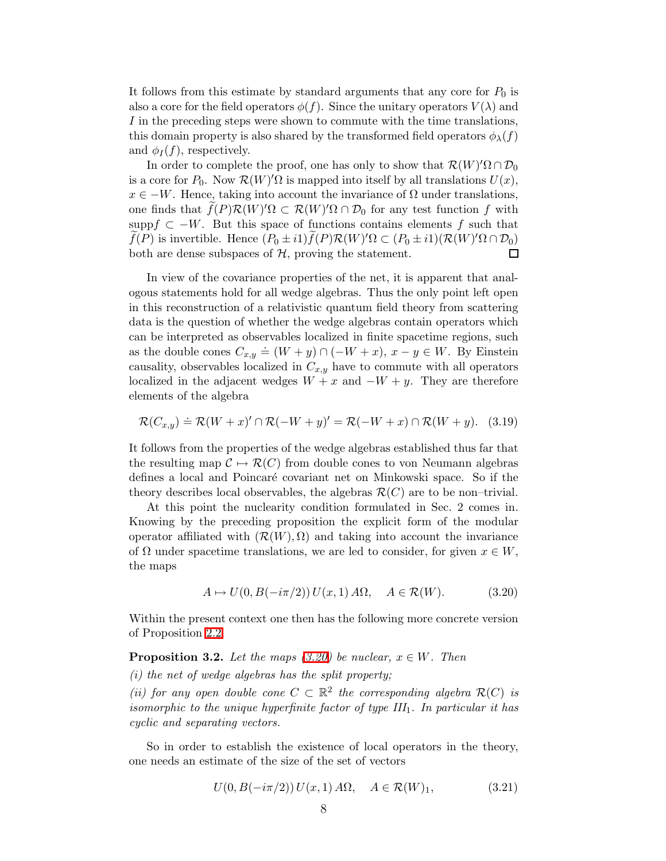It follows from this estimate by standard arguments that any core for  $P_0$  is also a core for the field operators  $\phi(f)$ . Since the unitary operators  $V(\lambda)$  and I in the preceding steps were shown to commute with the time translations, this domain property is also shared by the transformed field operators  $\phi_{\lambda}(f)$ and  $\phi_I(f)$ , respectively.

In order to complete the proof, one has only to show that  $\mathcal{R}(W)'\Omega \cap \mathcal{D}_0$ is a core for  $P_0$ . Now  $\mathcal{R}(W)$ ' $\Omega$  is mapped into itself by all translations  $U(x)$ ,  $x \in -W$ . Hence, taking into account the invariance of  $\Omega$  under translations, one finds that  $\tilde{f}(P)\mathcal{R}(W)'\Omega \subset \mathcal{R}(W)'\Omega \cap \mathcal{D}_0$  for any test function f with suppf  $\subset -W$ . But this space of functions contains elements f such that  $f(P)$  is invertible. Hence  $(P_0 \pm i1) \tilde{f}(P) \mathcal{R}(W)' \Omega \subset (P_0 \pm i1) (\mathcal{R}(W)' \Omega \cap \mathcal{D}_0)$ both are dense subspaces of  $H$ , proving the statement.  $\Box$ 

In view of the covariance properties of the net, it is apparent that analogous statements hold for all wedge algebras. Thus the only point left open in this reconstruction of a relativistic quantum field theory from scattering data is the question of whether the wedge algebras contain operators which can be interpreted as observables localized in finite spacetime regions, such as the double cones  $C_{x,y} \doteq (W + y) \cap (-W + x), x - y \in W$ . By Einstein causality, observables localized in  $C_{x,y}$  have to commute with all operators localized in the adjacent wedges  $W + x$  and  $-W + y$ . They are therefore elements of the algebra

$$
\mathcal{R}(C_{x,y}) \doteq \mathcal{R}(W+x)' \cap \mathcal{R}(-W+y)' = \mathcal{R}(-W+x) \cap \mathcal{R}(W+y). \quad (3.19)
$$

It follows from the properties of the wedge algebras established thus far that the resulting map  $\mathcal{C} \mapsto \mathcal{R}(C)$  from double cones to von Neumann algebras defines a local and Poincar´e covariant net on Minkowski space. So if the theory describes local observables, the algebras  $\mathcal{R}(C)$  are to be non–trivial.

<span id="page-7-0"></span>At this point the nuclearity condition formulated in Sec. 2 comes in. Knowing by the preceding proposition the explicit form of the modular operator affiliated with  $(\mathcal{R}(W), \Omega)$  and taking into account the invariance of  $\Omega$  under spacetime translations, we are led to consider, for given  $x \in W$ , the maps

$$
A \mapsto U(0, B(-i\pi/2)) U(x, 1) A\Omega, \quad A \in \mathcal{R}(W). \tag{3.20}
$$

Within the present context one then has the following more concrete version of Proposition [2.2.](#page-3-1)

#### **Proposition 3.2.** Let the maps [\(3.20\)](#page-7-0) be nuclear,  $x \in W$ . Then

(i) the net of wedge algebras has the split property;

(ii) for any open double cone  $C \subset \mathbb{R}^2$  the corresponding algebra  $\mathcal{R}(C)$  is isomorphic to the unique hyperfinite factor of type  $III_1$ . In particular it has cyclic and separating vectors.

So in order to establish the existence of local operators in the theory, one needs an estimate of the size of the set of vectors

<span id="page-7-1"></span>
$$
U(0, B(-i\pi/2)) U(x, 1) A\Omega, \quad A \in \mathcal{R}(W)_1,
$$
\n
$$
(3.21)
$$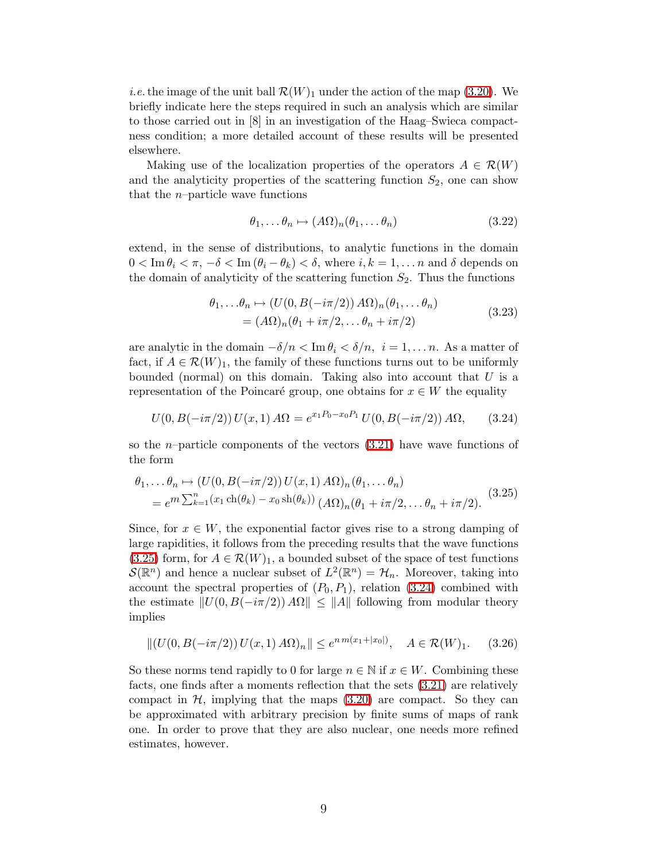*i.e.* the image of the unit ball  $\mathcal{R}(W)$ <sub>1</sub> under the action of the map [\(3.20\)](#page-7-0). We briefly indicate here the steps required in such an analysis which are similar to those carried out in [8] in an investigation of the Haag–Swieca compactness condition; a more detailed account of these results will be presented elsewhere.

Making use of the localization properties of the operators  $A \in \mathcal{R}(W)$ and the analyticity properties of the scattering function  $S_2$ , one can show that the  $n$ -particle wave functions

$$
\theta_1, \dots \theta_n \mapsto (A\Omega)_n(\theta_1, \dots \theta_n) \tag{3.22}
$$

extend, in the sense of distributions, to analytic functions in the domain  $0 < \text{Im } \theta_i < \pi, -\delta < \text{Im } (\theta_i - \theta_k) < \delta$ , where  $i, k = 1, \dots n$  and  $\delta$  depends on the domain of analyticity of the scattering function  $S_2$ . Thus the functions

<span id="page-8-1"></span>
$$
\theta_1, \dots \theta_n \mapsto (U(0, B(-i\pi/2)) \, A\Omega)_n(\theta_1, \dots \theta_n)
$$
  
=  $(A\Omega)_n(\theta_1 + i\pi/2, \dots \theta_n + i\pi/2)$  (3.23)

are analytic in the domain  $-\delta/n < \text{Im}\,\theta_i < \delta/n$ ,  $i = 1, \ldots n$ . As a matter of fact, if  $A \in \mathcal{R}(W)_1$ , the family of these functions turns out to be uniformly bounded (normal) on this domain. Taking also into account that  $U$  is a representation of the Poincaré group, one obtains for  $x \in W$  the equality

$$
U(0, B(-i\pi/2)) U(x, 1) A\Omega = e^{x_1 P_0 - x_0 P_1} U(0, B(-i\pi/2)) A\Omega,
$$
 (3.24)

<span id="page-8-0"></span>so the *n*–particle components of the vectors  $(3.21)$  have wave functions of the form

$$
\theta_1, \dots \theta_n \mapsto (U(0, B(-i\pi/2)) U(x, 1) A\Omega)_n (\theta_1, \dots \theta_n)
$$
  
=  $e^{m \sum_{k=1}^n (x_1 \operatorname{ch}(\theta_k) - x_0 \operatorname{sh}(\theta_k))} (A\Omega)_n (\theta_1 + i\pi/2, \dots \theta_n + i\pi/2).$  (3.25)

Since, for  $x \in W$ , the exponential factor gives rise to a strong damping of large rapidities, it follows from the preceding results that the wave functions  $(3.25)$  form, for  $A \in \mathcal{R}(W)_1$ , a bounded subset of the space of test functions  $\mathcal{S}(\mathbb{R}^n)$  and hence a nuclear subset of  $L^2(\mathbb{R}^n) = \mathcal{H}_n$ . Moreover, taking into account the spectral properties of  $(P_0, P_1)$ , relation [\(3.24\)](#page-8-1) combined with the estimate  $||U(0, B(-i\pi/2)) \cap \Omega|| \leq ||A||$  following from modular theory implies

$$
||(U(0, B(-i\pi/2)) U(x, 1) A\Omega)_n|| \le e^{n m(x_1+|x_0|)}, \quad A \in \mathcal{R}(W)_1.
$$
 (3.26)

So these norms tend rapidly to 0 for large  $n \in \mathbb{N}$  if  $x \in W$ . Combining these facts, one finds after a moments reflection that the sets [\(3.21\)](#page-7-1) are relatively compact in  $H$ , implying that the maps [\(3.20\)](#page-7-0) are compact. So they can be approximated with arbitrary precision by finite sums of maps of rank one. In order to prove that they are also nuclear, one needs more refined estimates, however.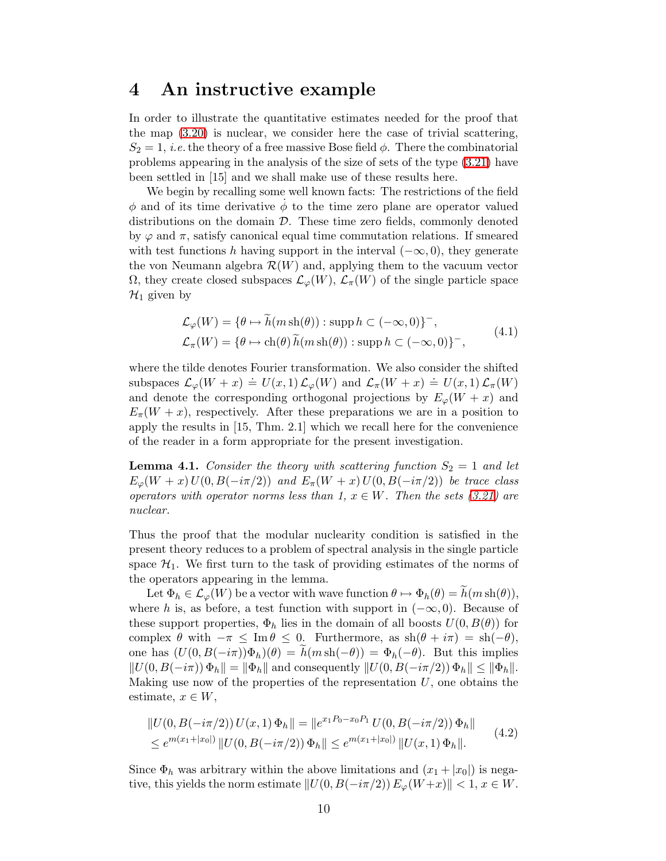### 4 An instructive example

In order to illustrate the quantitative estimates needed for the proof that the map [\(3.20\)](#page-7-0) is nuclear, we consider here the case of trivial scattering,  $S_2 = 1$ , *i.e.* the theory of a free massive Bose field  $\phi$ . There the combinatorial problems appearing in the analysis of the size of sets of the type [\(3.21\)](#page-7-1) have been settled in [15] and we shall make use of these results here.

We begin by recalling some well known facts: The restrictions of the field  $\phi$  and of its time derivative  $\phi$  to the time zero plane are operator valued distributions on the domain  $D$ . These time zero fields, commonly denoted by  $\varphi$  and  $\pi$ , satisfy canonical equal time commutation relations. If smeared with test functions h having support in the interval  $(-\infty, 0)$ , they generate the von Neumann algebra  $\mathcal{R}(W)$  and, applying them to the vacuum vector Ω, they create closed subspaces  $\mathcal{L}_{\varphi}(W)$ ,  $\mathcal{L}_{\pi}(W)$  of the single particle space  $\mathcal{H}_1$  given by

$$
\mathcal{L}_{\varphi}(W) = \{ \theta \mapsto \widetilde{h}(m \operatorname{sh}(\theta)) : \operatorname{supp} h \subset (-\infty, 0) \}^-,
$$
  

$$
\mathcal{L}_{\pi}(W) = \{ \theta \mapsto \operatorname{ch}(\theta) \widetilde{h}(m \operatorname{sh}(\theta)) : \operatorname{supp} h \subset (-\infty, 0) \}^-,
$$
(4.1)

where the tilde denotes Fourier transformation. We also consider the shifted subspaces  $\mathcal{L}_{\varphi}(W+x) \doteq U(x,1) \mathcal{L}_{\varphi}(W)$  and  $\mathcal{L}_{\pi}(W+x) \doteq U(x,1) \mathcal{L}_{\pi}(W)$ and denote the corresponding orthogonal projections by  $E_{\varphi}(W+x)$  and  $E_{\pi}(W+x)$ , respectively. After these preparations we are in a position to apply the results in [15, Thm. 2.1] which we recall here for the convenience of the reader in a form appropriate for the present investigation.

**Lemma 4.1.** Consider the theory with scattering function  $S_2 = 1$  and let  $E_{\varphi}(W+x)U(0, B(-i\pi/2))$  and  $E_{\pi}(W+x)U(0, B(-i\pi/2))$  be trace class operators with operator norms less than 1,  $x \in W$ . Then the sets [\(3.21\)](#page-7-1) are nuclear.

Thus the proof that the modular nuclearity condition is satisfied in the present theory reduces to a problem of spectral analysis in the single particle space  $\mathcal{H}_1$ . We first turn to the task of providing estimates of the norms of the operators appearing in the lemma.

Let  $\Phi_h \in \mathcal{L}_{\varphi}(W)$  be a vector with wave function  $\theta \mapsto \Phi_h(\theta) = h(m \operatorname{sh}(\theta)),$ where h is, as before, a test function with support in  $(-\infty, 0)$ . Because of these support properties,  $\Phi_h$  lies in the domain of all boosts  $U(0, B(\theta))$  for complex  $\theta$  with  $-\pi \leq \text{Im } \theta \leq 0$ . Furthermore, as  $\text{sh}(\theta + i\pi) = \text{sh}(-\theta)$ , one has  $(U(0, B(-i\pi))\Phi_h)(\theta) = h(m \, \text{sh}(-\theta)) = \Phi_h(-\theta)$ . But this implies  $||U(0, B(-i\pi)) \Phi_h|| = ||\Phi_h||$  and consequently  $||U(0, B(-i\pi/2)) \Phi_h|| \le ||\Phi_h||$ . Making use now of the properties of the representation  $U$ , one obtains the estimate,  $x \in W$ ,

$$
||U(0, B(-i\pi/2)) U(x, 1) \Phi_h|| = ||e^{x_1 P_0 - x_0 P_1} U(0, B(-i\pi/2)) \Phi_h||
$$
  
\n
$$
\leq e^{m(x_1 + |x_0|)} ||U(0, B(-i\pi/2)) \Phi_h|| \leq e^{m(x_1 + |x_0|)} ||U(x, 1) \Phi_h||.
$$
 (4.2)

Since  $\Phi_h$  was arbitrary within the above limitations and  $(x_1 + |x_0|)$  is negative, this yields the norm estimate  $||U(0, B(-i\pi/2)) E_{\varphi}(W+x)|| < 1, x \in W$ .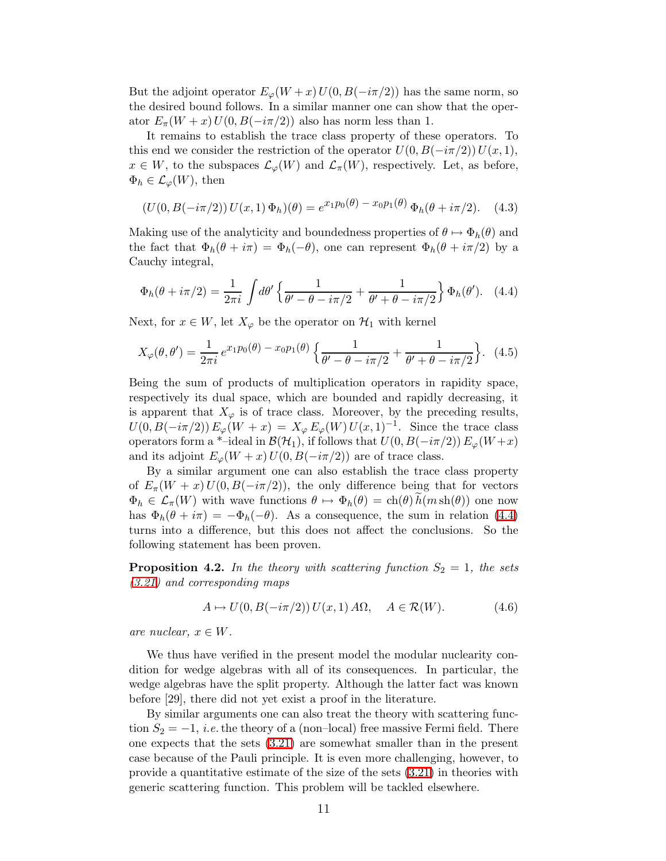But the adjoint operator  $E_{\varphi}(W+x)U(0, B(-i\pi/2))$  has the same norm, so the desired bound follows. In a similar manner one can show that the operator  $E_{\pi}(W+x)U(0, B(-i\pi/2))$  also has norm less than 1.

It remains to establish the trace class property of these operators. To this end we consider the restriction of the operator  $U(0, B(-i\pi/2))U(x, 1)$ ,  $x \in W$ , to the subspaces  $\mathcal{L}_{\varphi}(W)$  and  $\mathcal{L}_{\pi}(W)$ , respectively. Let, as before,  $\Phi_h \in \mathcal{L}_{\varphi}(W)$ , then

$$
(U(0, B(-i\pi/2)) U(x, 1) \Phi_h)(\theta) = e^{x_1 p_0(\theta) - x_0 p_1(\theta)} \Phi_h(\theta + i\pi/2).
$$
 (4.3)

<span id="page-10-0"></span>Making use of the analyticity and boundedness properties of  $\theta \mapsto \Phi_h(\theta)$  and the fact that  $\Phi_h(\theta + i\pi) = \Phi_h(-\theta)$ , one can represent  $\Phi_h(\theta + i\pi/2)$  by a Cauchy integral,

$$
\Phi_h(\theta + i\pi/2) = \frac{1}{2\pi i} \int d\theta' \left\{ \frac{1}{\theta' - \theta - i\pi/2} + \frac{1}{\theta' + \theta - i\pi/2} \right\} \Phi_h(\theta'). \quad (4.4)
$$

Next, for  $x \in W$ , let  $X_{\varphi}$  be the operator on  $\mathcal{H}_1$  with kernel

$$
X_{\varphi}(\theta,\theta') = \frac{1}{2\pi i} e^{x_1 p_0(\theta) - x_0 p_1(\theta)} \left\{ \frac{1}{\theta' - \theta - i\pi/2} + \frac{1}{\theta' + \theta - i\pi/2} \right\}.
$$
 (4.5)

Being the sum of products of multiplication operators in rapidity space, respectively its dual space, which are bounded and rapidly decreasing, it is apparent that  $X_{\varphi}$  is of trace class. Moreover, by the preceding results,  $U(0, B(-i\pi/2)) E_{\varphi}(W+x) = X_{\varphi} E_{\varphi}(W) U(x, 1)^{-1}$ . Since the trace class operators form a \*–ideal in  $\mathcal{B}(\mathcal{H}_1)$ , if follows that  $U(0, B(-i\pi/2)) E_{\varphi}(W+x)$ and its adjoint  $E_{\varphi}(W+x)U(0, B(-i\pi/2))$  are of trace class.

By a similar argument one can also establish the trace class property of  $E_{\pi}(W+x)U(0, B(-i\pi/2))$ , the only difference being that for vectors  $\Phi_h \in \mathcal{L}_{\pi}(W)$  with wave functions  $\theta \mapsto \Phi_h(\theta) = \text{ch}(\theta) h(m \text{ sh}(\theta))$  one now has  $\Phi_h(\theta + i\pi) = -\Phi_h(-\theta)$ . As a consequence, the sum in relation [\(4.4\)](#page-10-0) turns into a difference, but this does not affect the conclusions. So the following statement has been proven.

**Proposition 4.2.** In the theory with scattering function  $S_2 = 1$ , the sets [\(3.21\)](#page-7-1) and corresponding maps

$$
A \mapsto U(0, B(-i\pi/2)) U(x, 1) A\Omega, \quad A \in \mathcal{R}(W). \tag{4.6}
$$

are nuclear,  $x \in W$ .

We thus have verified in the present model the modular nuclearity condition for wedge algebras with all of its consequences. In particular, the wedge algebras have the split property. Although the latter fact was known before [29], there did not yet exist a proof in the literature.

By similar arguments one can also treat the theory with scattering function  $S_2 = -1$ , *i.e.* the theory of a (non–local) free massive Fermi field. There one expects that the sets [\(3.21\)](#page-7-1) are somewhat smaller than in the present case because of the Pauli principle. It is even more challenging, however, to provide a quantitative estimate of the size of the sets [\(3.21\)](#page-7-1) in theories with generic scattering function. This problem will be tackled elsewhere.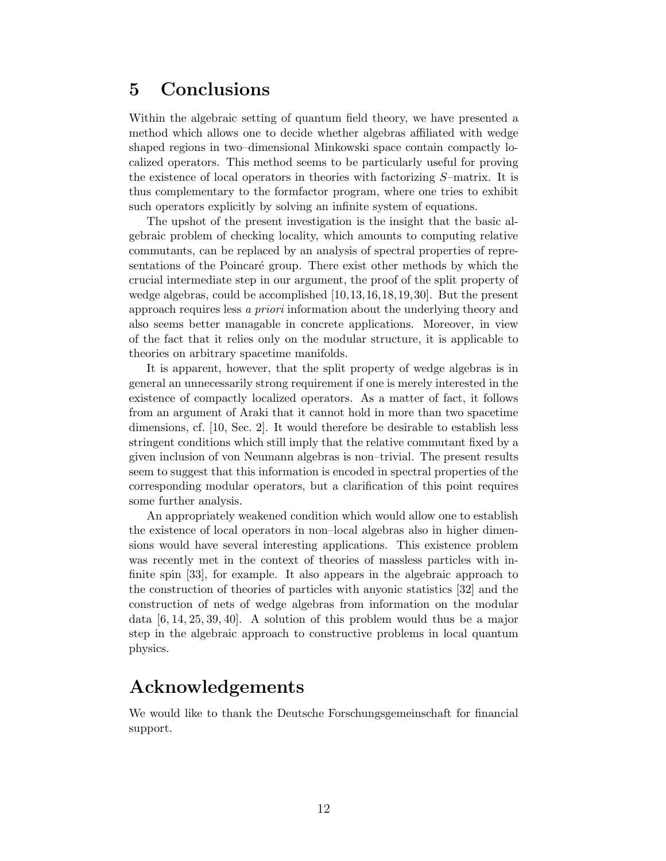# 5 Conclusions

Within the algebraic setting of quantum field theory, we have presented a method which allows one to decide whether algebras affiliated with wedge shaped regions in two–dimensional Minkowski space contain compactly localized operators. This method seems to be particularly useful for proving the existence of local operators in theories with factorizing S–matrix. It is thus complementary to the formfactor program, where one tries to exhibit such operators explicitly by solving an infinite system of equations.

The upshot of the present investigation is the insight that the basic algebraic problem of checking locality, which amounts to computing relative commutants, can be replaced by an analysis of spectral properties of representations of the Poincaré group. There exist other methods by which the crucial intermediate step in our argument, the proof of the split property of wedge algebras, could be accomplished [10,13,16,18,19,30]. But the present approach requires less a priori information about the underlying theory and also seems better managable in concrete applications. Moreover, in view of the fact that it relies only on the modular structure, it is applicable to theories on arbitrary spacetime manifolds.

It is apparent, however, that the split property of wedge algebras is in general an unnecessarily strong requirement if one is merely interested in the existence of compactly localized operators. As a matter of fact, it follows from an argument of Araki that it cannot hold in more than two spacetime dimensions, cf. [10, Sec. 2]. It would therefore be desirable to establish less stringent conditions which still imply that the relative commutant fixed by a given inclusion of von Neumann algebras is non–trivial. The present results seem to suggest that this information is encoded in spectral properties of the corresponding modular operators, but a clarification of this point requires some further analysis.

An appropriately weakened condition which would allow one to establish the existence of local operators in non–local algebras also in higher dimensions would have several interesting applications. This existence problem was recently met in the context of theories of massless particles with infinite spin [33], for example. It also appears in the algebraic approach to the construction of theories of particles with anyonic statistics [32] and the construction of nets of wedge algebras from information on the modular data [6, 14, 25, 39, 40]. A solution of this problem would thus be a major step in the algebraic approach to constructive problems in local quantum physics.

# Acknowledgements

We would like to thank the Deutsche Forschungsgemeinschaft for financial support.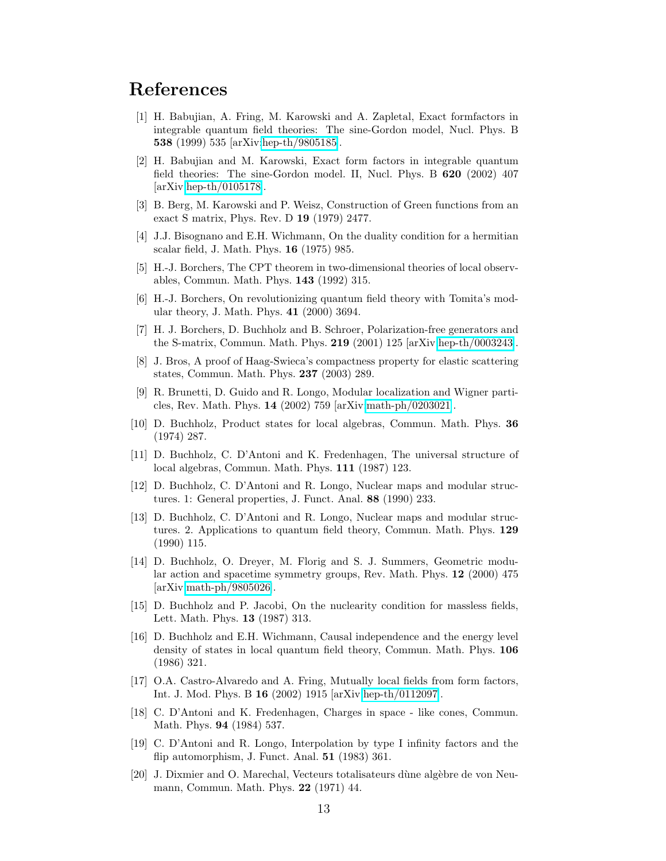## References

- [1] H. Babujian, A. Fring, M. Karowski and A. Zapletal, Exact formfactors in integrable quantum field theories: The sine-Gordon model, Nucl. Phys. B 538 (1999) 535 [arXiv[:hep-th/9805185\]](http://arxiv.org/abs/hep-th/9805185).
- [2] H. Babujian and M. Karowski, Exact form factors in integrable quantum field theories: The sine-Gordon model. II, Nucl. Phys. B 620 (2002) 407 [arXiv[:hep-th/0105178\]](http://arxiv.org/abs/hep-th/0105178).
- [3] B. Berg, M. Karowski and P. Weisz, Construction of Green functions from an exact S matrix, Phys. Rev. D 19 (1979) 2477.
- [4] J.J. Bisognano and E.H. Wichmann, On the duality condition for a hermitian scalar field, J. Math. Phys. 16 (1975) 985.
- [5] H.-J. Borchers, The CPT theorem in two-dimensional theories of local observables, Commun. Math. Phys. 143 (1992) 315.
- [6] H.-J. Borchers, On revolutionizing quantum field theory with Tomita's modular theory, J. Math. Phys. 41 (2000) 3694.
- [7] H. J. Borchers, D. Buchholz and B. Schroer, Polarization-free generators and the S-matrix, Commun. Math. Phys. 219 (2001) 125 [arXiv[:hep-th/0003243\]](http://arxiv.org/abs/hep-th/0003243).
- [8] J. Bros, A proof of Haag-Swieca's compactness property for elastic scattering states, Commun. Math. Phys. 237 (2003) 289.
- [9] R. Brunetti, D. Guido and R. Longo, Modular localization and Wigner particles, Rev. Math. Phys. 14 (2002) 759 [arXiv[:math-ph/0203021\]](http://arxiv.org/abs/math-ph/0203021).
- [10] D. Buchholz, Product states for local algebras, Commun. Math. Phys. 36 (1974) 287.
- [11] D. Buchholz, C. D'Antoni and K. Fredenhagen, The universal structure of local algebras, Commun. Math. Phys. 111 (1987) 123.
- [12] D. Buchholz, C. D'Antoni and R. Longo, Nuclear maps and modular structures. 1: General properties, J. Funct. Anal. 88 (1990) 233.
- [13] D. Buchholz, C. D'Antoni and R. Longo, Nuclear maps and modular structures. 2. Applications to quantum field theory, Commun. Math. Phys. 129 (1990) 115.
- [14] D. Buchholz, O. Dreyer, M. Florig and S. J. Summers, Geometric modular action and spacetime symmetry groups, Rev. Math. Phys. 12 (2000) 475 [arXiv[:math-ph/9805026\]](http://arxiv.org/abs/math-ph/9805026).
- [15] D. Buchholz and P. Jacobi, On the nuclearity condition for massless fields, Lett. Math. Phys. 13 (1987) 313.
- [16] D. Buchholz and E.H. Wichmann, Causal independence and the energy level density of states in local quantum field theory, Commun. Math. Phys. 106 (1986) 321.
- [17] O.A. Castro-Alvaredo and A. Fring, Mutually local fields from form factors, Int. J. Mod. Phys. B 16 (2002) 1915 [arXiv[:hep-th/0112097\]](http://arxiv.org/abs/hep-th/0112097).
- [18] C. D'Antoni and K. Fredenhagen, Charges in space like cones, Commun. Math. Phys. 94 (1984) 537.
- [19] C. D'Antoni and R. Longo, Interpolation by type I infinity factors and the flip automorphism, J. Funct. Anal. 51 (1983) 361.
- [20] J. Dixmier and O. Marechal, Vecteurs totalisateurs dùne algèbre de von Neumann, Commun. Math. Phys. 22 (1971) 44.